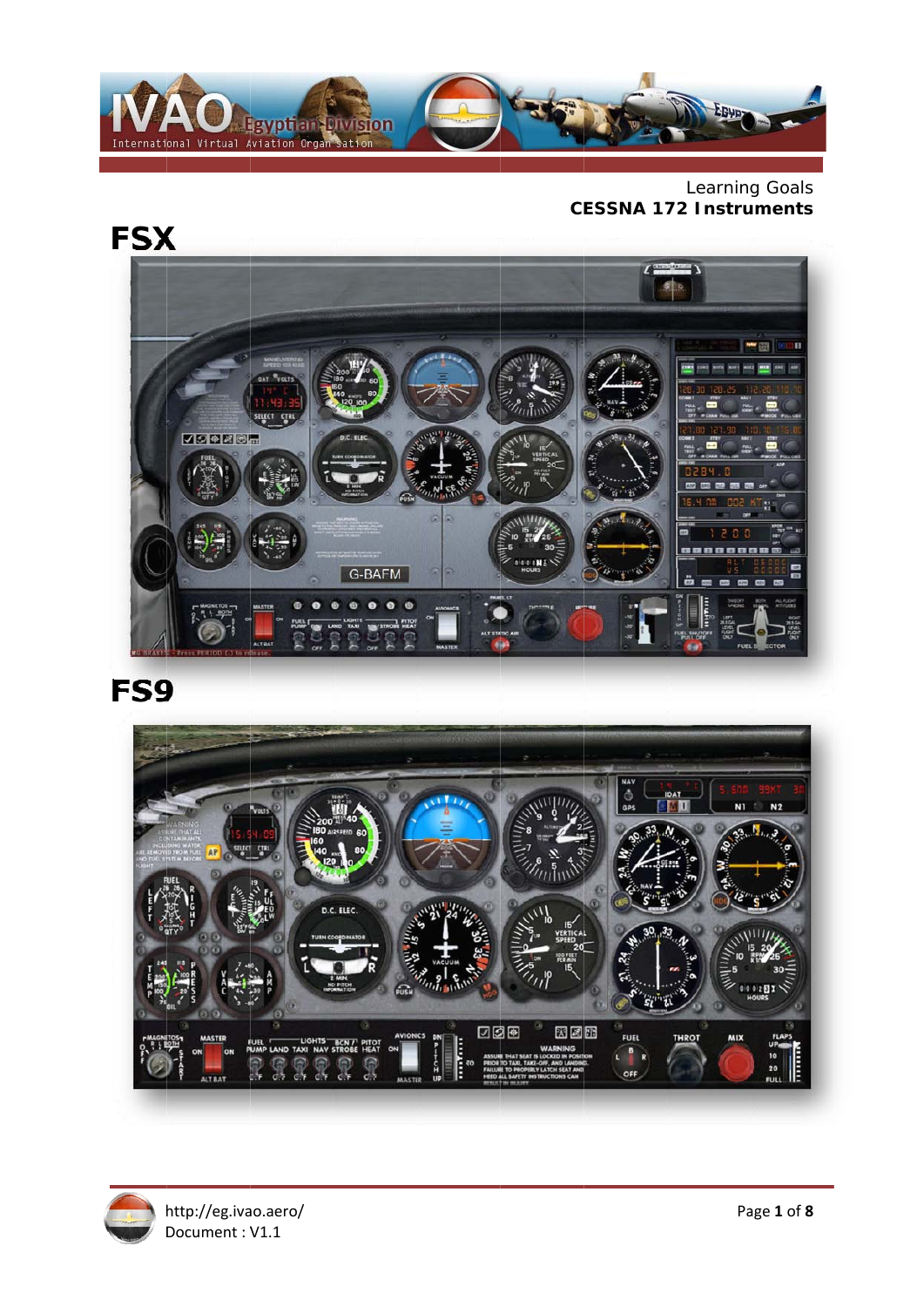

Learning Goals **CESSNA 172 Instruments** 



# FS9



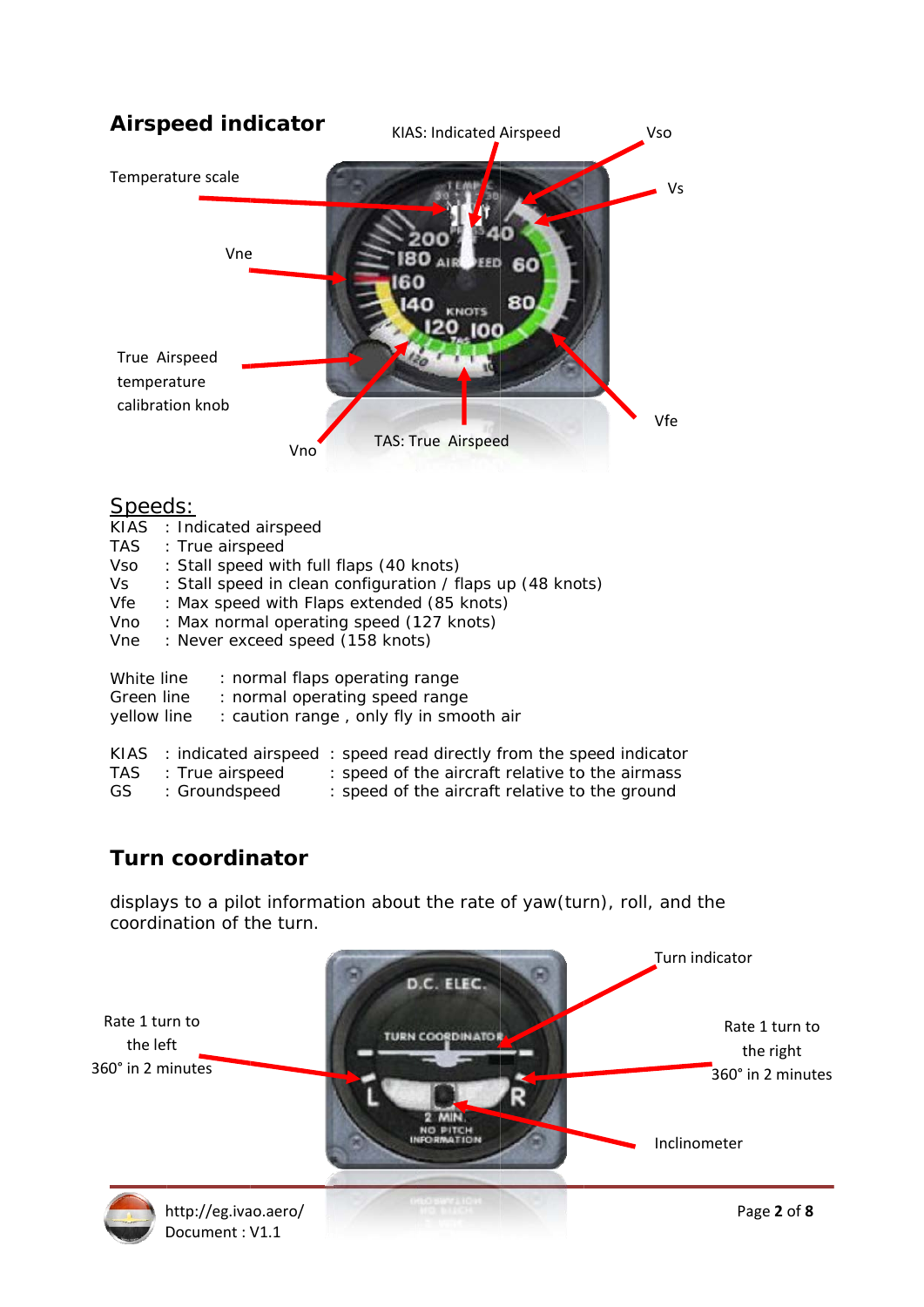

#### Speeds:

|                                         |                                          | KIAS : Indicated airspeed        |                                                                                                             |  |  |
|-----------------------------------------|------------------------------------------|----------------------------------|-------------------------------------------------------------------------------------------------------------|--|--|
| TAS                                     | : True airspeed                          |                                  |                                                                                                             |  |  |
| Vso                                     |                                          |                                  | : Stall speed with full flaps (40 knots)                                                                    |  |  |
| Vs                                      |                                          |                                  | : Stall speed in clean configuration / flaps up (48 knots)                                                  |  |  |
| Vfe                                     |                                          |                                  | : Max speed with Flaps extended (85 knots)                                                                  |  |  |
| Vno                                     | : Max normal operating speed (127 knots) |                                  |                                                                                                             |  |  |
| Vne                                     |                                          | : Never exceed speed (158 knots) |                                                                                                             |  |  |
| White line<br>Green line<br>yellow line |                                          |                                  | : normal flaps operating range<br>: normal operating speed range<br>: caution range, only fly in smooth air |  |  |
|                                         |                                          |                                  | KIAS : indicated airspeed : speed read directly from the speed indicator                                    |  |  |
|                                         |                                          | TAS : True airspeed              | : speed of the aircraft relative to the airmass                                                             |  |  |
| GS.                                     |                                          | : Groundspeed                    | : speed of the aircraft relative to the ground                                                              |  |  |

### **Turn coordinator**

displays to a pilot information about the rate of yaw(turn), roll, and the coordination of the turn.

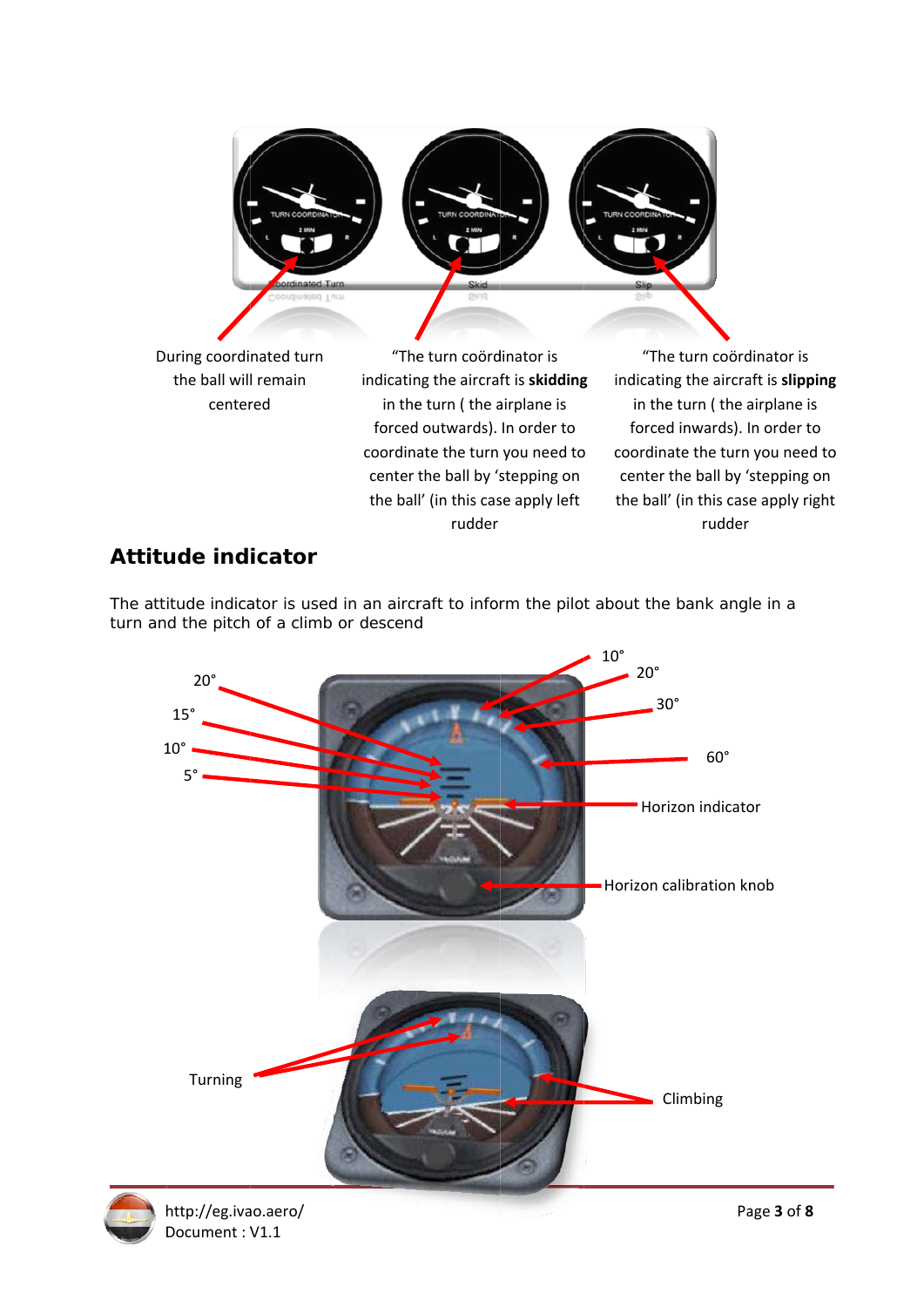

#### **Attitude indicator**

The attitude indicator is used in an aircraft to inform the pilot about the bank angle in a turn and the pitch of a climb or descend



Pa age **3** of **8**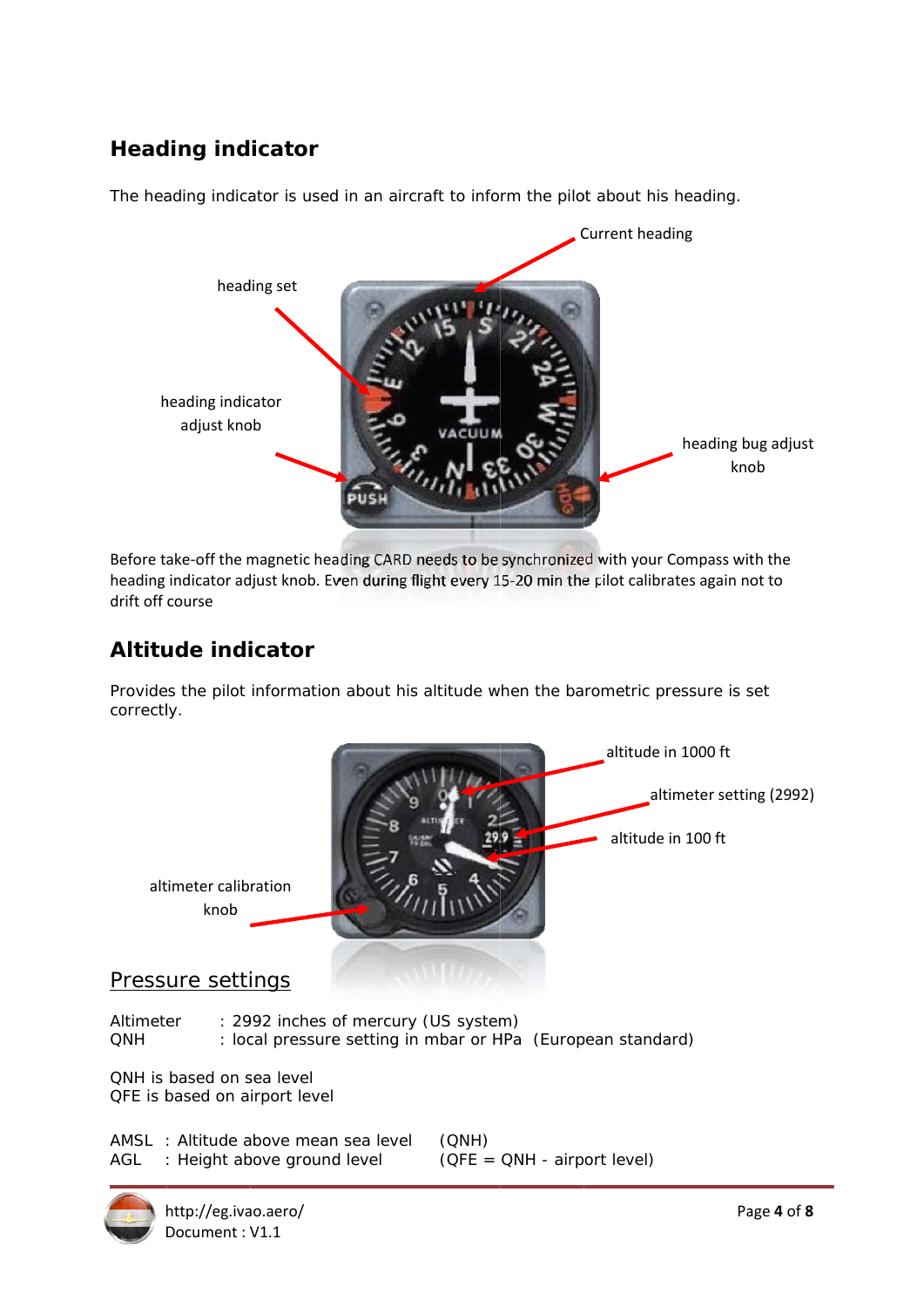## **Heading indicator**

The heading indicator is used in an aircraft to inform the pilot about his heading.



Before take-off the magnetic heading CARD needs to be synchronized with your Compass with the heading indicator adjust knob. Even during flight every 15-20 min the pilot calibrates again not to drift off course

### **Altitude indicator**

Provides the pilot information about his altitude when the barometric pressure is set correctly.

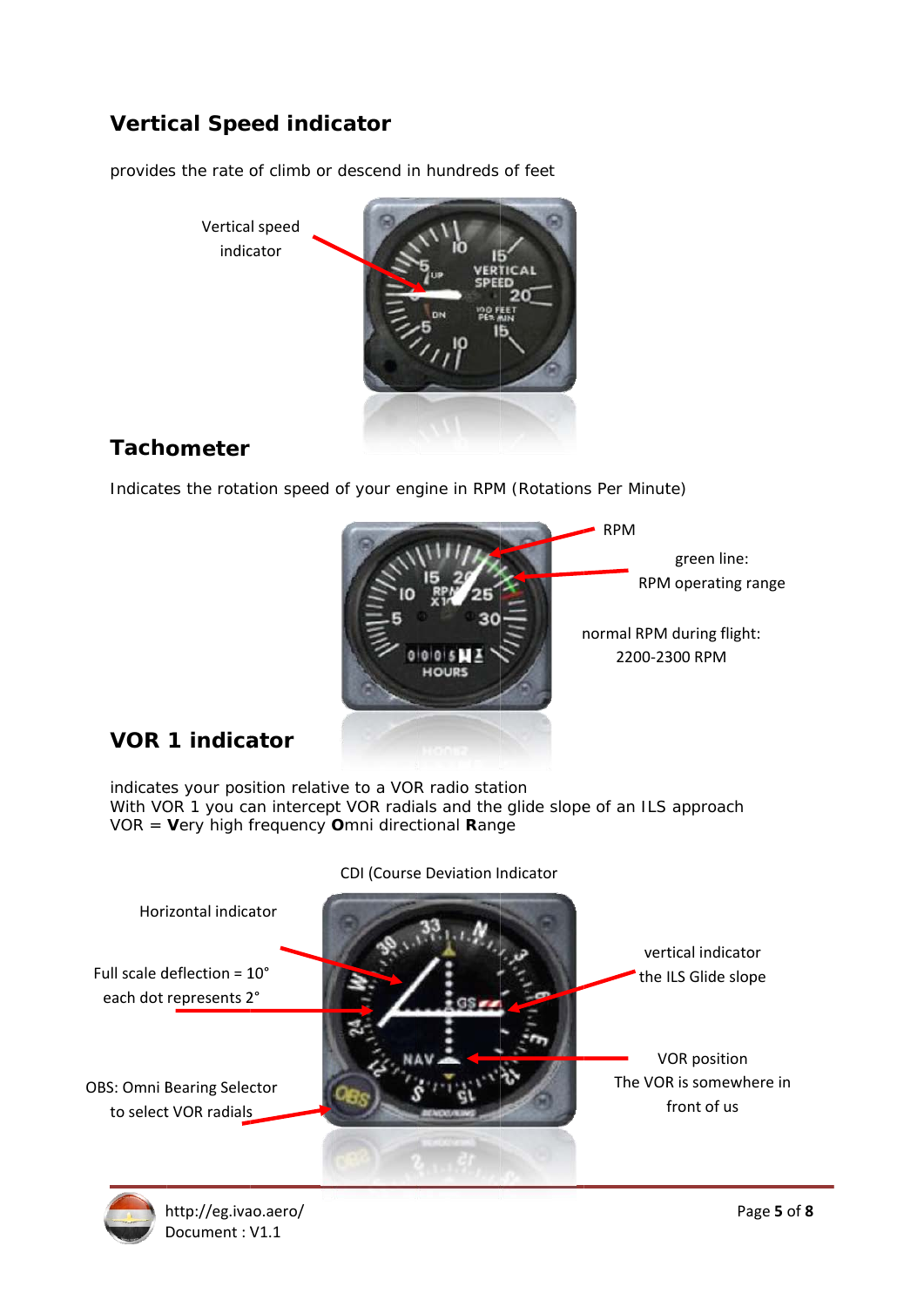### **Vertical Speed indicator**

provides the rate of climb or descend in hundreds of feet



#### **Tachometer**

Indicates the rotation speed of your engine in RPM (Rotations Per Minute)



### **VOR 1 indicator**

indicates your position relative to a VOR radio station

With VOR 1 you can intercept VOR radials and the glide slope of an ILS approach  $VOR = \textbf{V}$ ery high frequency **O**mni directional Range



CDI (Course Deviation Indicator

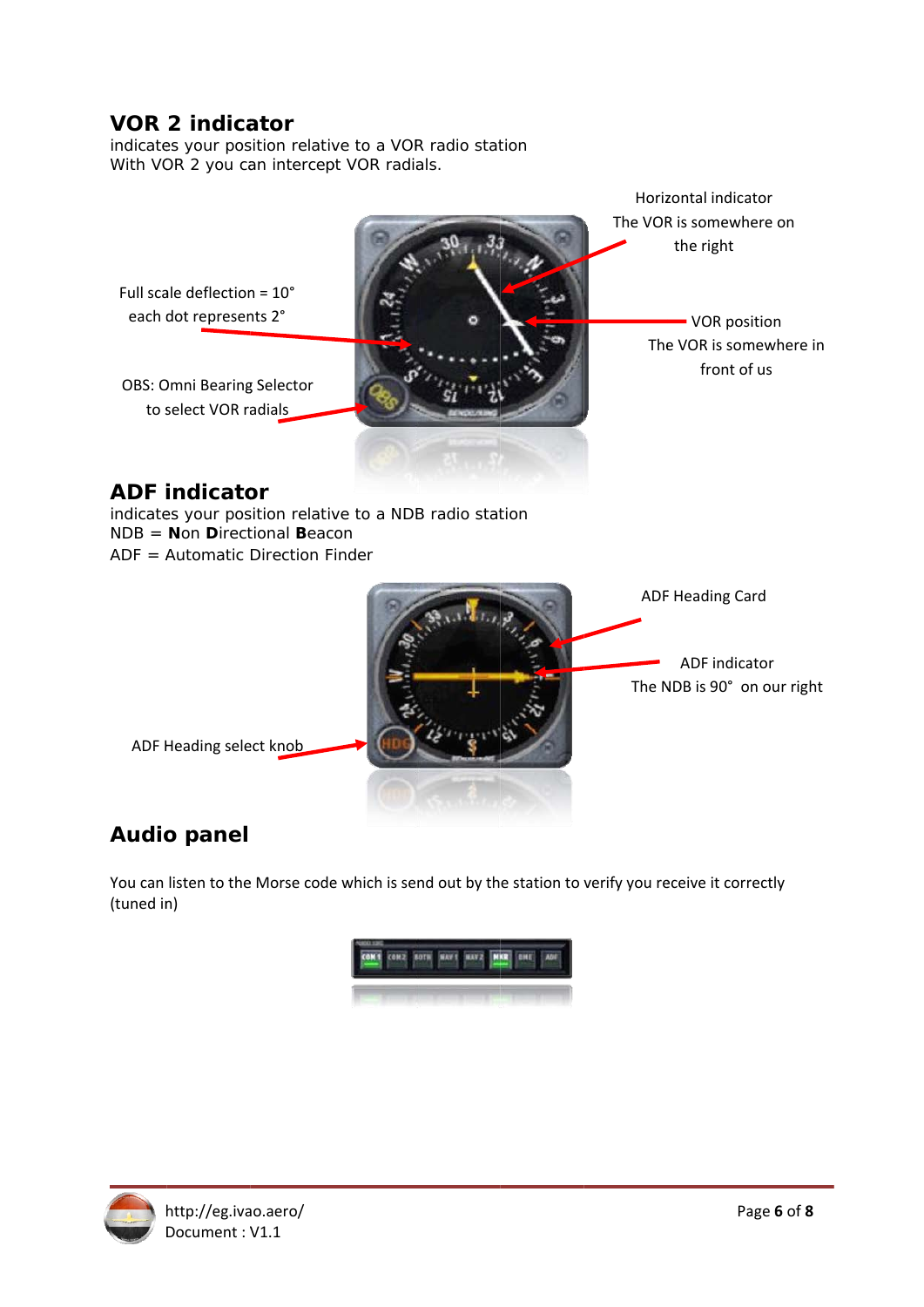#### **VOR 2 indicator**

indicates your position relative to a VOR radio station With VOR 2 you can intercept VOR radials.



Horizontal indicator

indicates your position relative to a NDB radio station  $NDB =$  **Non Directional Beacon** 

 $ADE = Automatic DirectionFinder$ 



### **Audio panel**

You can listen to the Morse code which is send out by the station to verify you receive it correctly (tuned in)



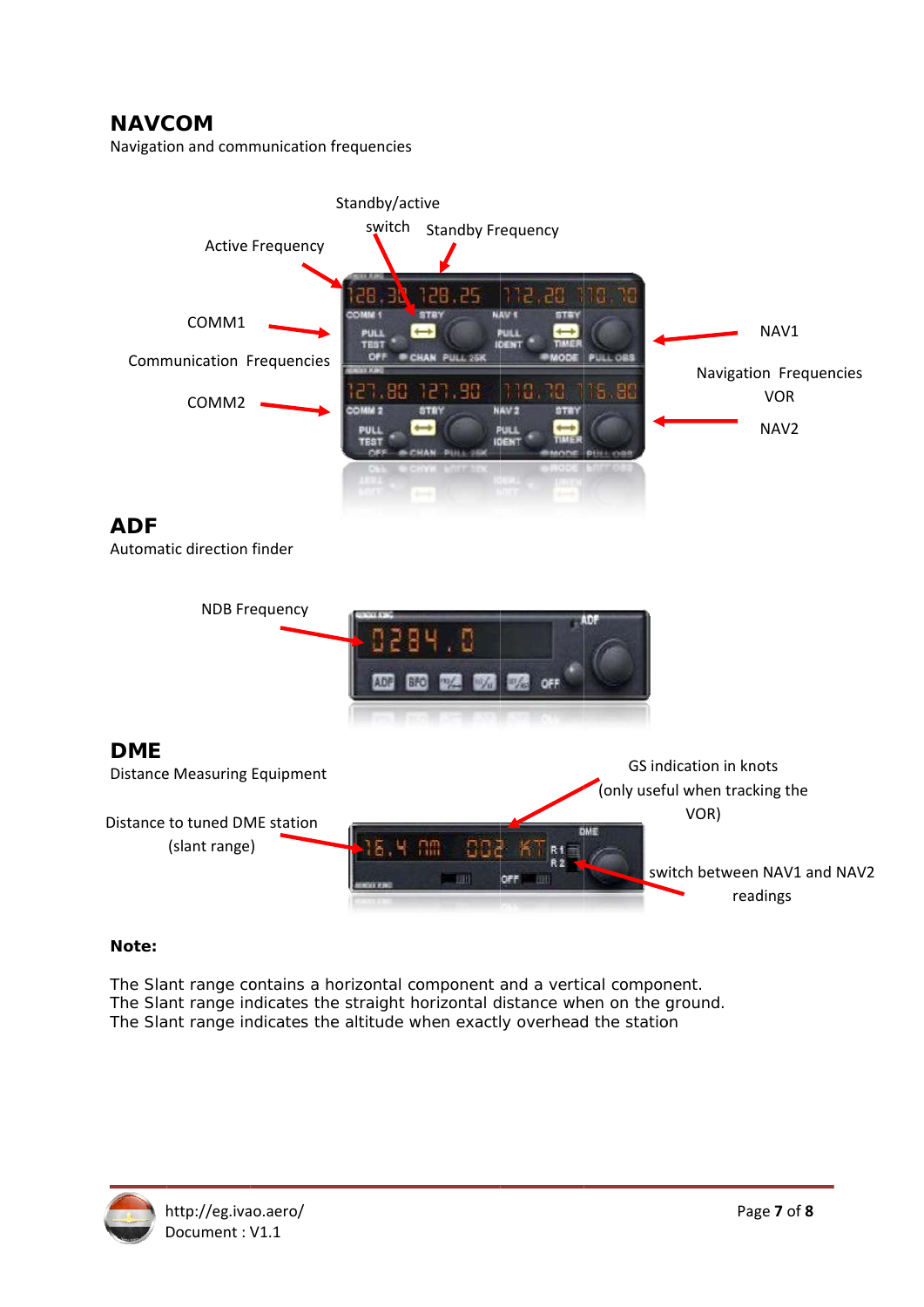#### **NAVCOM**

Navigation and communication frequencies



#### Note:

The Slant range contains a horizontal component and a vertical component. The Slant range indicates the straight horizontal distance when on the ground. The Slant range indicates the altitude when exactly overhead the station



readings